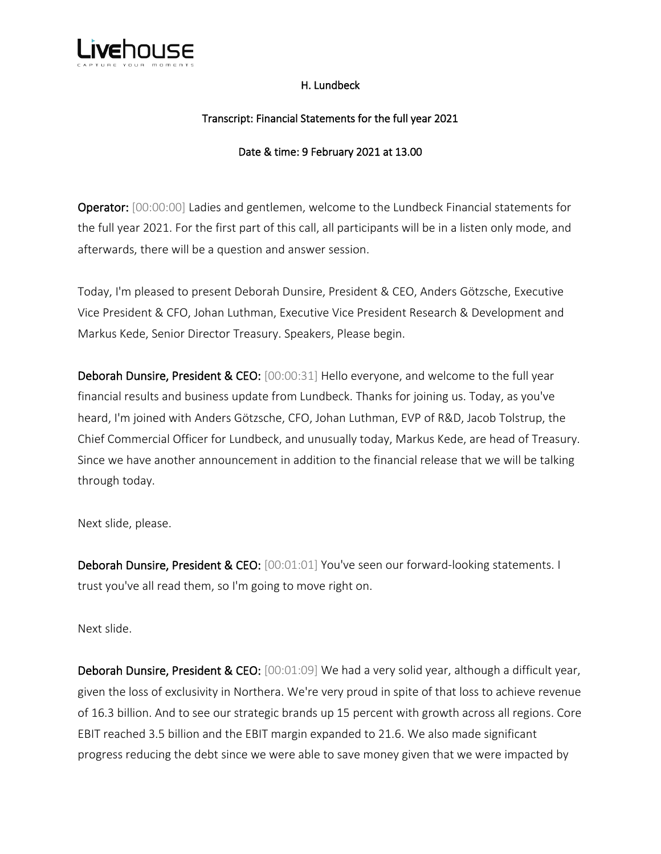

#### H. Lundbeck

#### Transcript: Financial Statements for the full year 2021

#### Date & time: 9 February 2021 at 13.00

Operator: [00:00:00] Ladies and gentlemen, welcome to the Lundbeck Financial statements for the full year 2021. For the first part of this call, all participants will be in a listen only mode, and afterwards, there will be a question and answer session.

Today, I'm pleased to present Deborah Dunsire, President & CEO, Anders Götzsche, Executive Vice President & CFO, Johan Luthman, Executive Vice President Research & Development and Markus Kede, Senior Director Treasury. Speakers, Please begin.

Deborah Dunsire, President & CEO: [00:00:31] Hello everyone, and welcome to the full year financial results and business update from Lundbeck. Thanks for joining us. Today, as you've heard, I'm joined with Anders Götzsche, CFO, Johan Luthman, EVP of R&D, Jacob Tolstrup, the Chief Commercial Officer for Lundbeck, and unusually today, Markus Kede, are head of Treasury. Since we have another announcement in addition to the financial release that we will be talking through today.

Next slide, please.

Deborah Dunsire, President & CEO: [00:01:01] You've seen our forward-looking statements. I trust you've all read them, so I'm going to move right on.

Next slide.

Deborah Dunsire, President & CEO: [00:01:09] We had a very solid year, although a difficult year, given the loss of exclusivity in Northera. We're very proud in spite of that loss to achieve revenue of 16.3 billion. And to see our strategic brands up 15 percent with growth across all regions. Core EBIT reached 3.5 billion and the EBIT margin expanded to 21.6. We also made significant progress reducing the debt since we were able to save money given that we were impacted by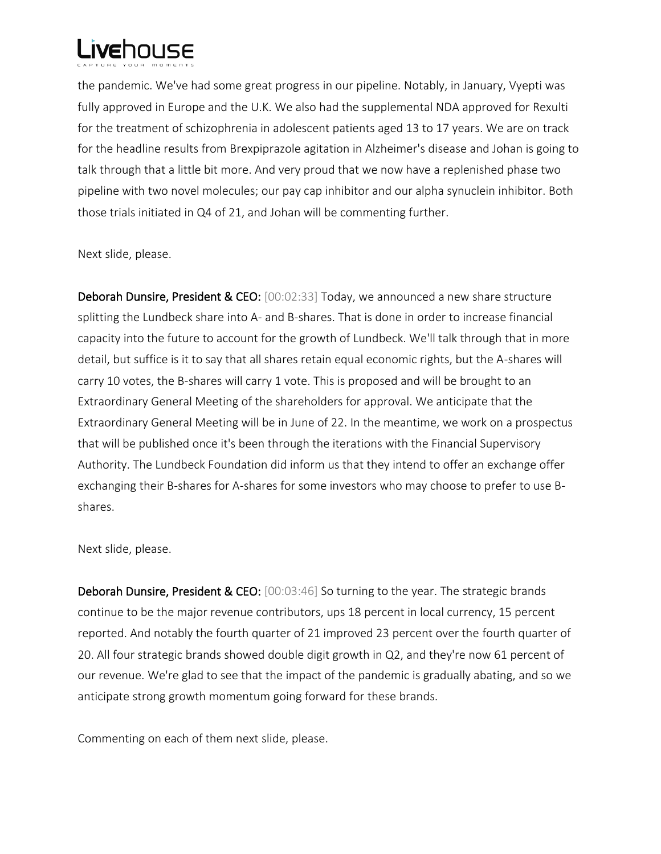

the pandemic. We've had some great progress in our pipeline. Notably, in January, Vyepti was fully approved in Europe and the U.K. We also had the supplemental NDA approved for Rexulti for the treatment of schizophrenia in adolescent patients aged 13 to 17 years. We are on track for the headline results from Brexpiprazole agitation in Alzheimer's disease and Johan is going to talk through that a little bit more. And very proud that we now have a replenished phase two pipeline with two novel molecules; our pay cap inhibitor and our alpha synuclein inhibitor. Both those trials initiated in Q4 of 21, and Johan will be commenting further.

Next slide, please.

Deborah Dunsire, President & CEO: [00:02:33] Today, we announced a new share structure splitting the Lundbeck share into A- and B-shares. That is done in order to increase financial capacity into the future to account for the growth of Lundbeck. We'll talk through that in more detail, but suffice is it to say that all shares retain equal economic rights, but the A-shares will carry 10 votes, the B-shares will carry 1 vote. This is proposed and will be brought to an Extraordinary General Meeting of the shareholders for approval. We anticipate that the Extraordinary General Meeting will be in June of 22. In the meantime, we work on a prospectus that will be published once it's been through the iterations with the Financial Supervisory Authority. The Lundbeck Foundation did inform us that they intend to offer an exchange offer exchanging their B-shares for A-shares for some investors who may choose to prefer to use Bshares.

Next slide, please.

Deborah Dunsire, President & CEO: [00:03:46] So turning to the year. The strategic brands continue to be the major revenue contributors, ups 18 percent in local currency, 15 percent reported. And notably the fourth quarter of 21 improved 23 percent over the fourth quarter of 20. All four strategic brands showed double digit growth in Q2, and they're now 61 percent of our revenue. We're glad to see that the impact of the pandemic is gradually abating, and so we anticipate strong growth momentum going forward for these brands.

Commenting on each of them next slide, please.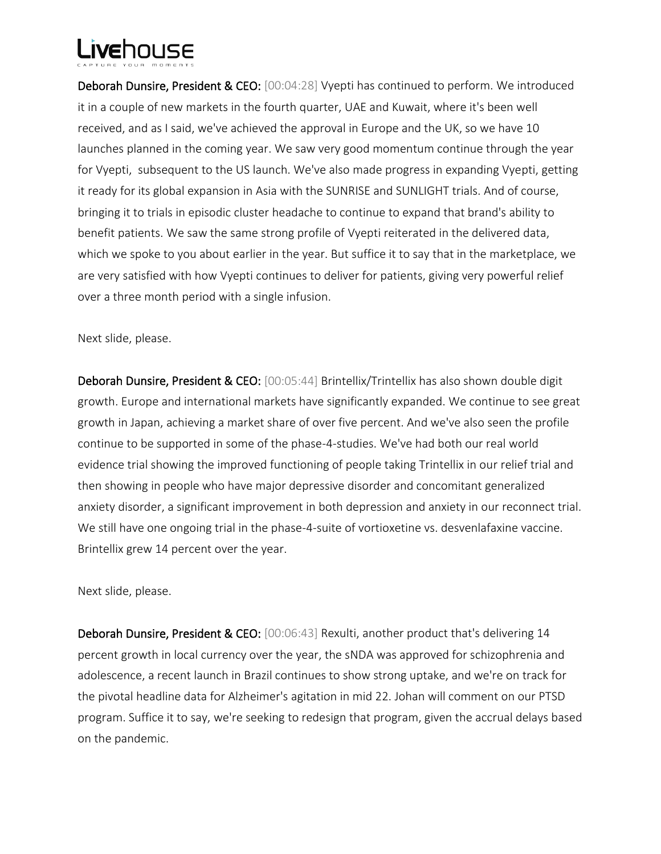Deborah Dunsire, President & CEO: [00:04:28] Vyepti has continued to perform. We introduced it in a couple of new markets in the fourth quarter, UAE and Kuwait, where it's been well received, and as I said, we've achieved the approval in Europe and the UK, so we have 10 launches planned in the coming year. We saw very good momentum continue through the year for Vyepti, subsequent to the US launch. We've also made progress in expanding Vyepti, getting it ready for its global expansion in Asia with the SUNRISE and SUNLIGHT trials. And of course, bringing it to trials in episodic cluster headache to continue to expand that brand's ability to benefit patients. We saw the same strong profile of Vyepti reiterated in the delivered data, which we spoke to you about earlier in the year. But suffice it to say that in the marketplace, we are very satisfied with how Vyepti continues to deliver for patients, giving very powerful relief over a three month period with a single infusion.

Next slide, please.

Deborah Dunsire, President & CEO: [00:05:44] Brintellix/Trintellix has also shown double digit growth. Europe and international markets have significantly expanded. We continue to see great growth in Japan, achieving a market share of over five percent. And we've also seen the profile continue to be supported in some of the phase-4-studies. We've had both our real world evidence trial showing the improved functioning of people taking Trintellix in our relief trial and then showing in people who have major depressive disorder and concomitant generalized anxiety disorder, a significant improvement in both depression and anxiety in our reconnect trial. We still have one ongoing trial in the phase-4-suite of vortioxetine vs. desvenlafaxine vaccine. Brintellix grew 14 percent over the year.

Next slide, please.

Deborah Dunsire, President & CEO: [00:06:43] Rexulti, another product that's delivering 14 percent growth in local currency over the year, the sNDA was approved for schizophrenia and adolescence, a recent launch in Brazil continues to show strong uptake, and we're on track for the pivotal headline data for Alzheimer's agitation in mid 22. Johan will comment on our PTSD program. Suffice it to say, we're seeking to redesign that program, given the accrual delays based on the pandemic.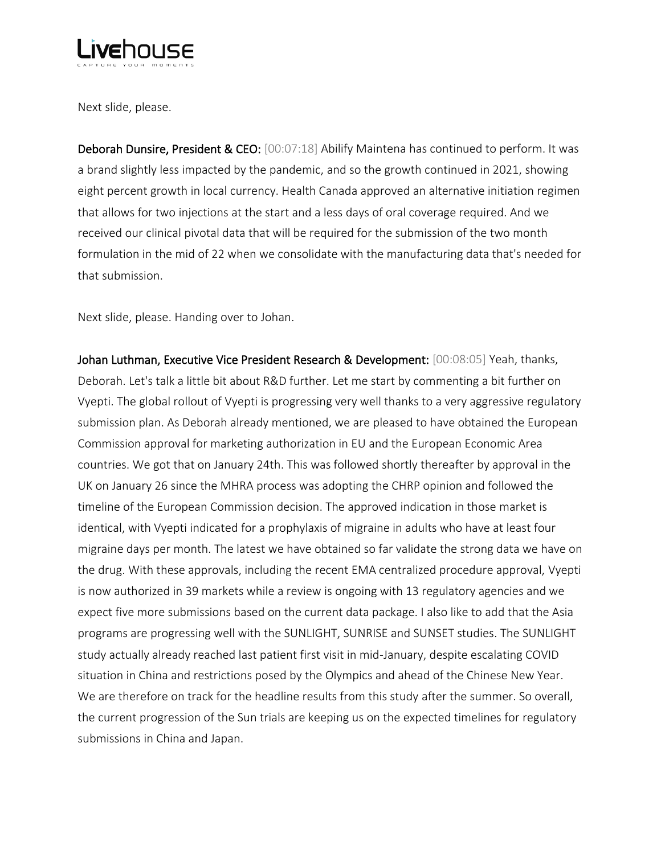

Next slide, please.

Deborah Dunsire, President & CEO: [00:07:18] Abilify Maintena has continued to perform. It was a brand slightly less impacted by the pandemic, and so the growth continued in 2021, showing eight percent growth in local currency. Health Canada approved an alternative initiation regimen that allows for two injections at the start and a less days of oral coverage required. And we received our clinical pivotal data that will be required for the submission of the two month formulation in the mid of 22 when we consolidate with the manufacturing data that's needed for that submission.

Next slide, please. Handing over to Johan.

Johan Luthman, Executive Vice President Research & Development: [00:08:05] Yeah, thanks, Deborah. Let's talk a little bit about R&D further. Let me start by commenting a bit further on Vyepti. The global rollout of Vyepti is progressing very well thanks to a very aggressive regulatory submission plan. As Deborah already mentioned, we are pleased to have obtained the European Commission approval for marketing authorization in EU and the European Economic Area countries. We got that on January 24th. This was followed shortly thereafter by approval in the UK on January 26 since the MHRA process was adopting the CHRP opinion and followed the timeline of the European Commission decision. The approved indication in those market is identical, with Vyepti indicated for a prophylaxis of migraine in adults who have at least four migraine days per month. The latest we have obtained so far validate the strong data we have on the drug. With these approvals, including the recent EMA centralized procedure approval, Vyepti is now authorized in 39 markets while a review is ongoing with 13 regulatory agencies and we expect five more submissions based on the current data package. I also like to add that the Asia programs are progressing well with the SUNLIGHT, SUNRISE and SUNSET studies. The SUNLIGHT study actually already reached last patient first visit in mid-January, despite escalating COVID situation in China and restrictions posed by the Olympics and ahead of the Chinese New Year. We are therefore on track for the headline results from this study after the summer. So overall, the current progression of the Sun trials are keeping us on the expected timelines for regulatory submissions in China and Japan.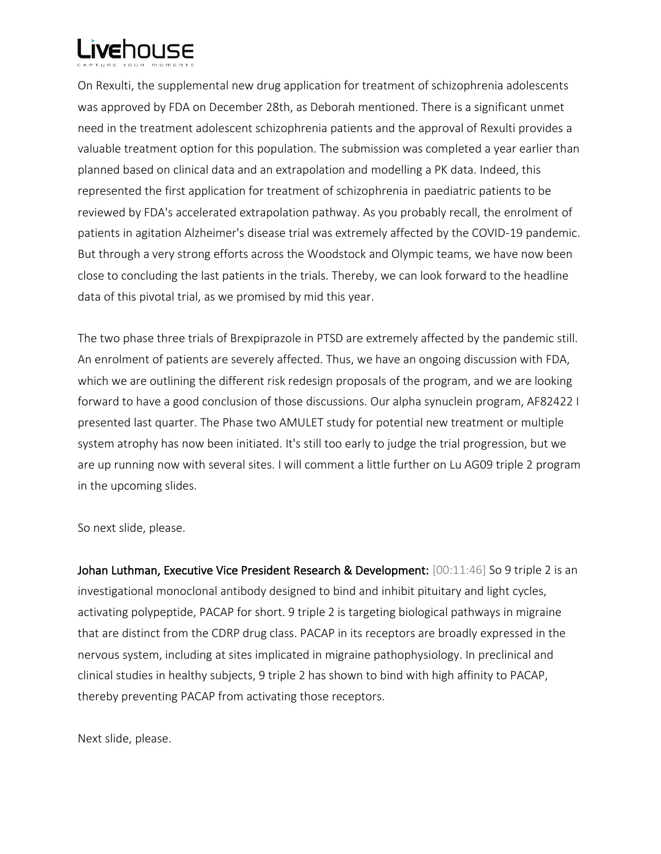

On Rexulti, the supplemental new drug application for treatment of schizophrenia adolescents was approved by FDA on December 28th, as Deborah mentioned. There is a significant unmet need in the treatment adolescent schizophrenia patients and the approval of Rexulti provides a valuable treatment option for this population. The submission was completed a year earlier than planned based on clinical data and an extrapolation and modelling a PK data. Indeed, this represented the first application for treatment of schizophrenia in paediatric patients to be reviewed by FDA's accelerated extrapolation pathway. As you probably recall, the enrolment of patients in agitation Alzheimer's disease trial was extremely affected by the COVID-19 pandemic. But through a very strong efforts across the Woodstock and Olympic teams, we have now been close to concluding the last patients in the trials. Thereby, we can look forward to the headline data of this pivotal trial, as we promised by mid this year.

The two phase three trials of Brexpiprazole in PTSD are extremely affected by the pandemic still. An enrolment of patients are severely affected. Thus, we have an ongoing discussion with FDA, which we are outlining the different risk redesign proposals of the program, and we are looking forward to have a good conclusion of those discussions. Our alpha synuclein program, AF82422 I presented last quarter. The Phase two AMULET study for potential new treatment or multiple system atrophy has now been initiated. It's still too early to judge the trial progression, but we are up running now with several sites. I will comment a little further on Lu AG09 triple 2 program in the upcoming slides.

So next slide, please.

Johan Luthman, Executive Vice President Research & Development: [00:11:46] So 9 triple 2 is an investigational monoclonal antibody designed to bind and inhibit pituitary and light cycles, activating polypeptide, PACAP for short. 9 triple 2 is targeting biological pathways in migraine that are distinct from the CDRP drug class. PACAP in its receptors are broadly expressed in the nervous system, including at sites implicated in migraine pathophysiology. In preclinical and clinical studies in healthy subjects, 9 triple 2 has shown to bind with high affinity to PACAP, thereby preventing PACAP from activating those receptors.

Next slide, please.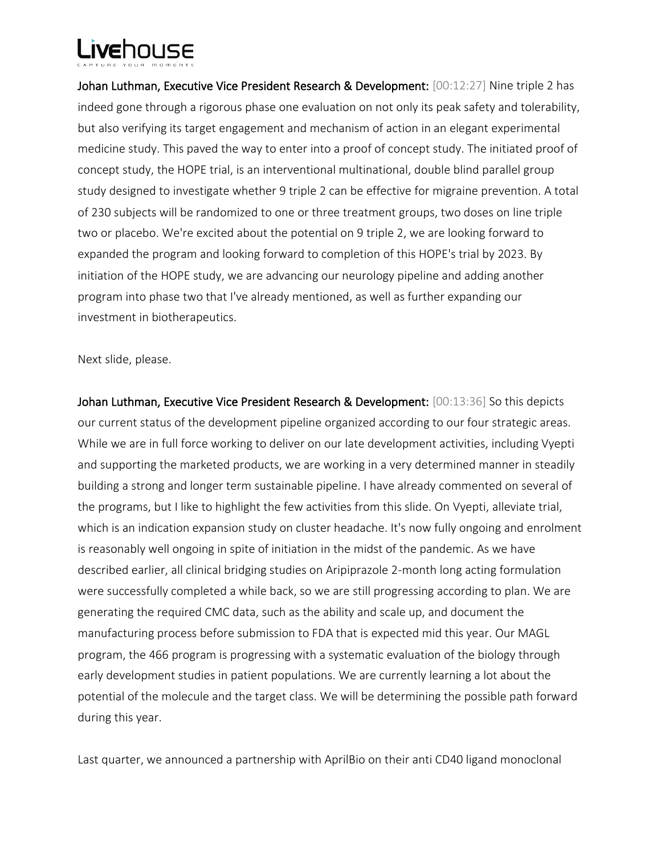Johan Luthman, Executive Vice President Research & Development: [00:12:27] Nine triple 2 has indeed gone through a rigorous phase one evaluation on not only its peak safety and tolerability, but also verifying its target engagement and mechanism of action in an elegant experimental medicine study. This paved the way to enter into a proof of concept study. The initiated proof of concept study, the HOPE trial, is an interventional multinational, double blind parallel group study designed to investigate whether 9 triple 2 can be effective for migraine prevention. A total of 230 subjects will be randomized to one or three treatment groups, two doses on line triple two or placebo. We're excited about the potential on 9 triple 2, we are looking forward to expanded the program and looking forward to completion of this HOPE's trial by 2023. By initiation of the HOPE study, we are advancing our neurology pipeline and adding another program into phase two that I've already mentioned, as well as further expanding our investment in biotherapeutics.

Next slide, please.

Johan Luthman, Executive Vice President Research & Development: [00:13:36] So this depicts our current status of the development pipeline organized according to our four strategic areas. While we are in full force working to deliver on our late development activities, including Vyepti and supporting the marketed products, we are working in a very determined manner in steadily building a strong and longer term sustainable pipeline. I have already commented on several of the programs, but I like to highlight the few activities from this slide. On Vyepti, alleviate trial, which is an indication expansion study on cluster headache. It's now fully ongoing and enrolment is reasonably well ongoing in spite of initiation in the midst of the pandemic. As we have described earlier, all clinical bridging studies on Aripiprazole 2-month long acting formulation were successfully completed a while back, so we are still progressing according to plan. We are generating the required CMC data, such as the ability and scale up, and document the manufacturing process before submission to FDA that is expected mid this year. Our MAGL program, the 466 program is progressing with a systematic evaluation of the biology through early development studies in patient populations. We are currently learning a lot about the potential of the molecule and the target class. We will be determining the possible path forward during this year.

Last quarter, we announced a partnership with AprilBio on their anti CD40 ligand monoclonal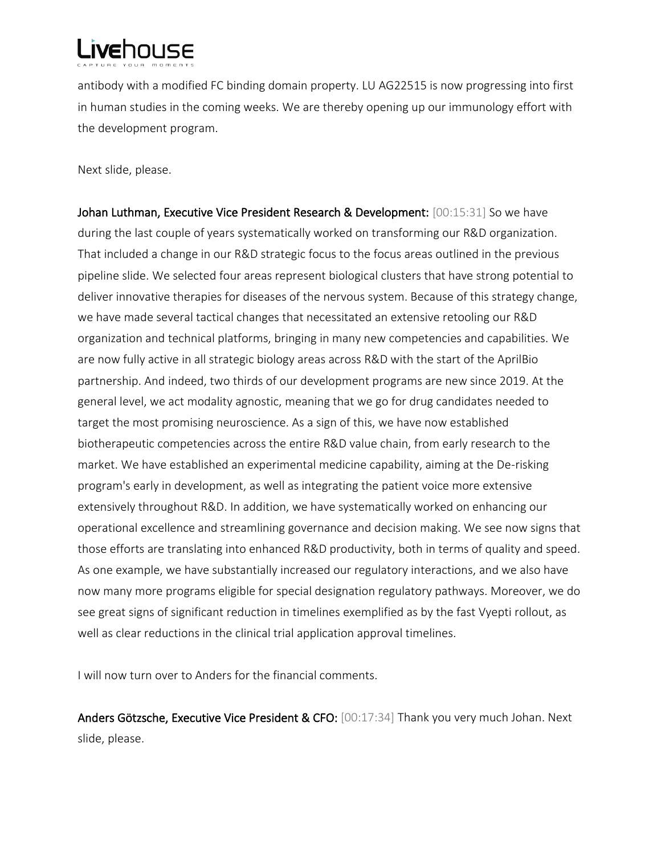antibody with a modified FC binding domain property. LU AG22515 is now progressing into first in human studies in the coming weeks. We are thereby opening up our immunology effort with the development program.

Next slide, please.

Johan Luthman, Executive Vice President Research & Development: [00:15:31] So we have during the last couple of years systematically worked on transforming our R&D organization. That included a change in our R&D strategic focus to the focus areas outlined in the previous pipeline slide. We selected four areas represent biological clusters that have strong potential to deliver innovative therapies for diseases of the nervous system. Because of this strategy change, we have made several tactical changes that necessitated an extensive retooling our R&D organization and technical platforms, bringing in many new competencies and capabilities. We are now fully active in all strategic biology areas across R&D with the start of the AprilBio partnership. And indeed, two thirds of our development programs are new since 2019. At the general level, we act modality agnostic, meaning that we go for drug candidates needed to target the most promising neuroscience. As a sign of this, we have now established biotherapeutic competencies across the entire R&D value chain, from early research to the market. We have established an experimental medicine capability, aiming at the De-risking program's early in development, as well as integrating the patient voice more extensive extensively throughout R&D. In addition, we have systematically worked on enhancing our operational excellence and streamlining governance and decision making. We see now signs that those efforts are translating into enhanced R&D productivity, both in terms of quality and speed. As one example, we have substantially increased our regulatory interactions, and we also have now many more programs eligible for special designation regulatory pathways. Moreover, we do see great signs of significant reduction in timelines exemplified as by the fast Vyepti rollout, as well as clear reductions in the clinical trial application approval timelines.

I will now turn over to Anders for the financial comments.

Anders Götzsche, Executive Vice President & CFO: [00:17:34] Thank you very much Johan. Next slide, please.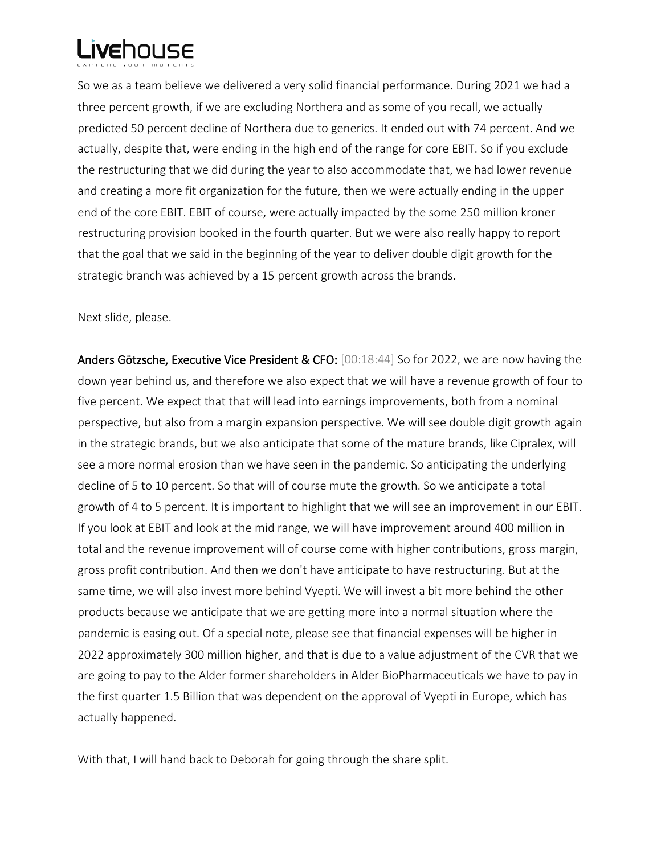

So we as a team believe we delivered a very solid financial performance. During 2021 we had a three percent growth, if we are excluding Northera and as some of you recall, we actually predicted 50 percent decline of Northera due to generics. It ended out with 74 percent. And we actually, despite that, were ending in the high end of the range for core EBIT. So if you exclude the restructuring that we did during the year to also accommodate that, we had lower revenue and creating a more fit organization for the future, then we were actually ending in the upper end of the core EBIT. EBIT of course, were actually impacted by the some 250 million kroner restructuring provision booked in the fourth quarter. But we were also really happy to report that the goal that we said in the beginning of the year to deliver double digit growth for the strategic branch was achieved by a 15 percent growth across the brands.

Next slide, please.

Anders Götzsche, Executive Vice President & CFO: [00:18:44] So for 2022, we are now having the down year behind us, and therefore we also expect that we will have a revenue growth of four to five percent. We expect that that will lead into earnings improvements, both from a nominal perspective, but also from a margin expansion perspective. We will see double digit growth again in the strategic brands, but we also anticipate that some of the mature brands, like Cipralex, will see a more normal erosion than we have seen in the pandemic. So anticipating the underlying decline of 5 to 10 percent. So that will of course mute the growth. So we anticipate a total growth of 4 to 5 percent. It is important to highlight that we will see an improvement in our EBIT. If you look at EBIT and look at the mid range, we will have improvement around 400 million in total and the revenue improvement will of course come with higher contributions, gross margin, gross profit contribution. And then we don't have anticipate to have restructuring. But at the same time, we will also invest more behind Vyepti. We will invest a bit more behind the other products because we anticipate that we are getting more into a normal situation where the pandemic is easing out. Of a special note, please see that financial expenses will be higher in 2022 approximately 300 million higher, and that is due to a value adjustment of the CVR that we are going to pay to the Alder former shareholders in Alder BioPharmaceuticals we have to pay in the first quarter 1.5 Billion that was dependent on the approval of Vyepti in Europe, which has actually happened.

With that, I will hand back to Deborah for going through the share split.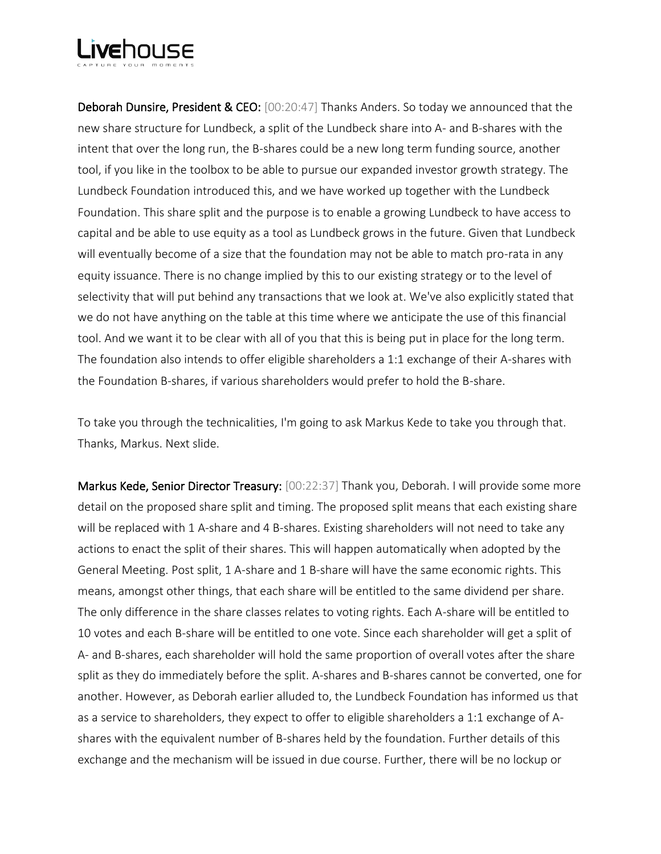Deborah Dunsire, President & CEO: [00:20:47] Thanks Anders. So today we announced that the new share structure for Lundbeck, a split of the Lundbeck share into A- and B-shares with the intent that over the long run, the B-shares could be a new long term funding source, another tool, if you like in the toolbox to be able to pursue our expanded investor growth strategy. The Lundbeck Foundation introduced this, and we have worked up together with the Lundbeck Foundation. This share split and the purpose is to enable a growing Lundbeck to have access to capital and be able to use equity as a tool as Lundbeck grows in the future. Given that Lundbeck will eventually become of a size that the foundation may not be able to match pro-rata in any equity issuance. There is no change implied by this to our existing strategy or to the level of selectivity that will put behind any transactions that we look at. We've also explicitly stated that we do not have anything on the table at this time where we anticipate the use of this financial tool. And we want it to be clear with all of you that this is being put in place for the long term. The foundation also intends to offer eligible shareholders a 1:1 exchange of their A-shares with the Foundation B-shares, if various shareholders would prefer to hold the B-share.

To take you through the technicalities, I'm going to ask Markus Kede to take you through that. Thanks, Markus. Next slide.

Markus Kede, Senior Director Treasury: [00:22:37] Thank you, Deborah. I will provide some more detail on the proposed share split and timing. The proposed split means that each existing share will be replaced with 1 A-share and 4 B-shares. Existing shareholders will not need to take any actions to enact the split of their shares. This will happen automatically when adopted by the General Meeting. Post split, 1 A-share and 1 B-share will have the same economic rights. This means, amongst other things, that each share will be entitled to the same dividend per share. The only difference in the share classes relates to voting rights. Each A-share will be entitled to 10 votes and each B-share will be entitled to one vote. Since each shareholder will get a split of A- and B-shares, each shareholder will hold the same proportion of overall votes after the share split as they do immediately before the split. A-shares and B-shares cannot be converted, one for another. However, as Deborah earlier alluded to, the Lundbeck Foundation has informed us that as a service to shareholders, they expect to offer to eligible shareholders a 1:1 exchange of Ashares with the equivalent number of B-shares held by the foundation. Further details of this exchange and the mechanism will be issued in due course. Further, there will be no lockup or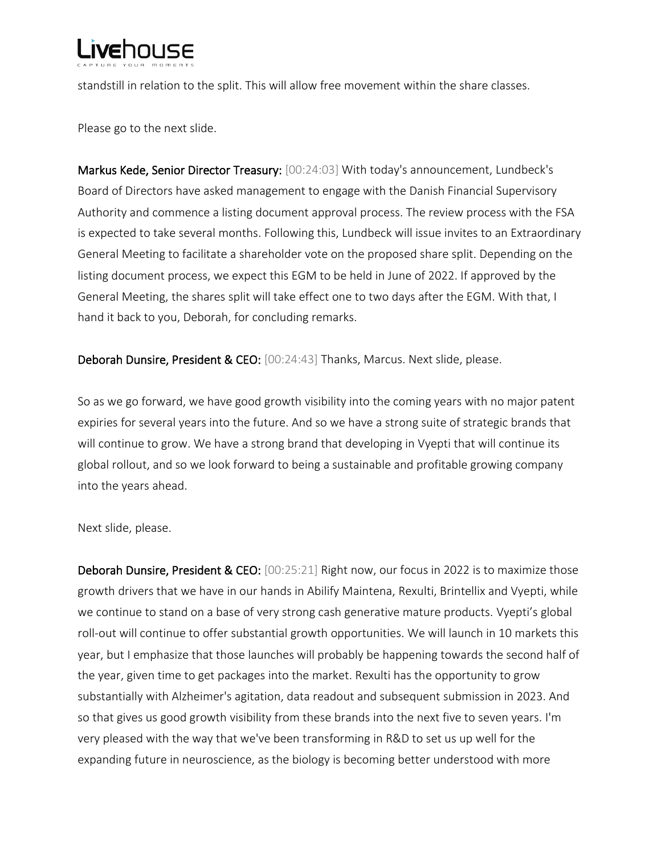standstill in relation to the split. This will allow free movement within the share classes.

Please go to the next slide.

Markus Kede, Senior Director Treasury: [00:24:03] With today's announcement, Lundbeck's Board of Directors have asked management to engage with the Danish Financial Supervisory Authority and commence a listing document approval process. The review process with the FSA is expected to take several months. Following this, Lundbeck will issue invites to an Extraordinary General Meeting to facilitate a shareholder vote on the proposed share split. Depending on the listing document process, we expect this EGM to be held in June of 2022. If approved by the General Meeting, the shares split will take effect one to two days after the EGM. With that, I hand it back to you, Deborah, for concluding remarks.

Deborah Dunsire, President & CEO: [00:24:43] Thanks, Marcus. Next slide, please.

So as we go forward, we have good growth visibility into the coming years with no major patent expiries for several years into the future. And so we have a strong suite of strategic brands that will continue to grow. We have a strong brand that developing in Vyepti that will continue its global rollout, and so we look forward to being a sustainable and profitable growing company into the years ahead.

Next slide, please.

Deborah Dunsire, President & CEO: [00:25:21] Right now, our focus in 2022 is to maximize those growth drivers that we have in our hands in Abilify Maintena, Rexulti, Brintellix and Vyepti, while we continue to stand on a base of very strong cash generative mature products. Vyepti's global roll-out will continue to offer substantial growth opportunities. We will launch in 10 markets this year, but I emphasize that those launches will probably be happening towards the second half of the year, given time to get packages into the market. Rexulti has the opportunity to grow substantially with Alzheimer's agitation, data readout and subsequent submission in 2023. And so that gives us good growth visibility from these brands into the next five to seven years. I'm very pleased with the way that we've been transforming in R&D to set us up well for the expanding future in neuroscience, as the biology is becoming better understood with more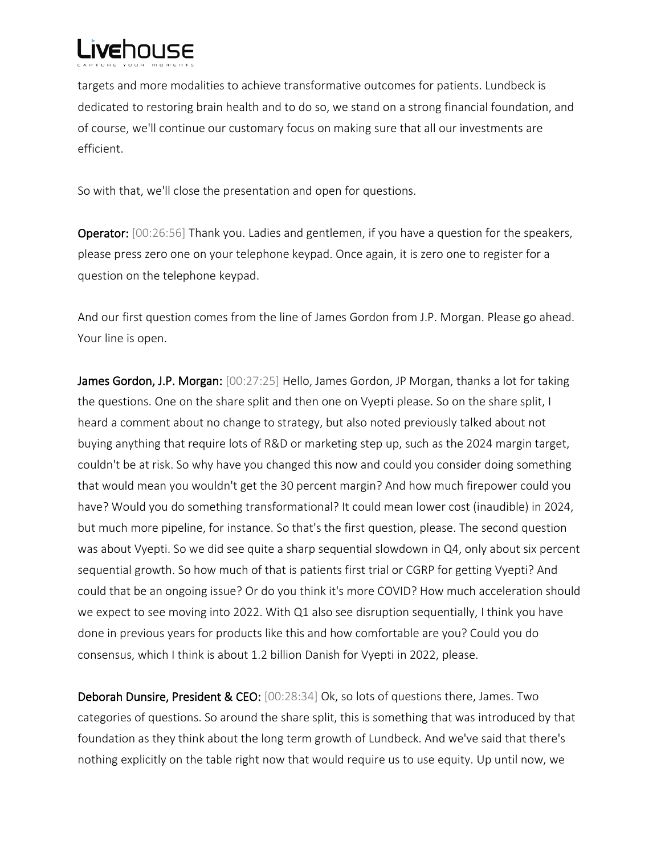targets and more modalities to achieve transformative outcomes for patients. Lundbeck is dedicated to restoring brain health and to do so, we stand on a strong financial foundation, and of course, we'll continue our customary focus on making sure that all our investments are efficient.

So with that, we'll close the presentation and open for questions.

**Operator:** [00:26:56] Thank you. Ladies and gentlemen, if you have a question for the speakers, please press zero one on your telephone keypad. Once again, it is zero one to register for a question on the telephone keypad.

And our first question comes from the line of James Gordon from J.P. Morgan. Please go ahead. Your line is open.

James Gordon, J.P. Morgan: [00:27:25] Hello, James Gordon, JP Morgan, thanks a lot for taking the questions. One on the share split and then one on Vyepti please. So on the share split, I heard a comment about no change to strategy, but also noted previously talked about not buying anything that require lots of R&D or marketing step up, such as the 2024 margin target, couldn't be at risk. So why have you changed this now and could you consider doing something that would mean you wouldn't get the 30 percent margin? And how much firepower could you have? Would you do something transformational? It could mean lower cost (inaudible) in 2024, but much more pipeline, for instance. So that's the first question, please. The second question was about Vyepti. So we did see quite a sharp sequential slowdown in Q4, only about six percent sequential growth. So how much of that is patients first trial or CGRP for getting Vyepti? And could that be an ongoing issue? Or do you think it's more COVID? How much acceleration should we expect to see moving into 2022. With Q1 also see disruption sequentially, I think you have done in previous years for products like this and how comfortable are you? Could you do consensus, which I think is about 1.2 billion Danish for Vyepti in 2022, please.

Deborah Dunsire, President & CEO: [00:28:34] Ok, so lots of questions there, James. Two categories of questions. So around the share split, this is something that was introduced by that foundation as they think about the long term growth of Lundbeck. And we've said that there's nothing explicitly on the table right now that would require us to use equity. Up until now, we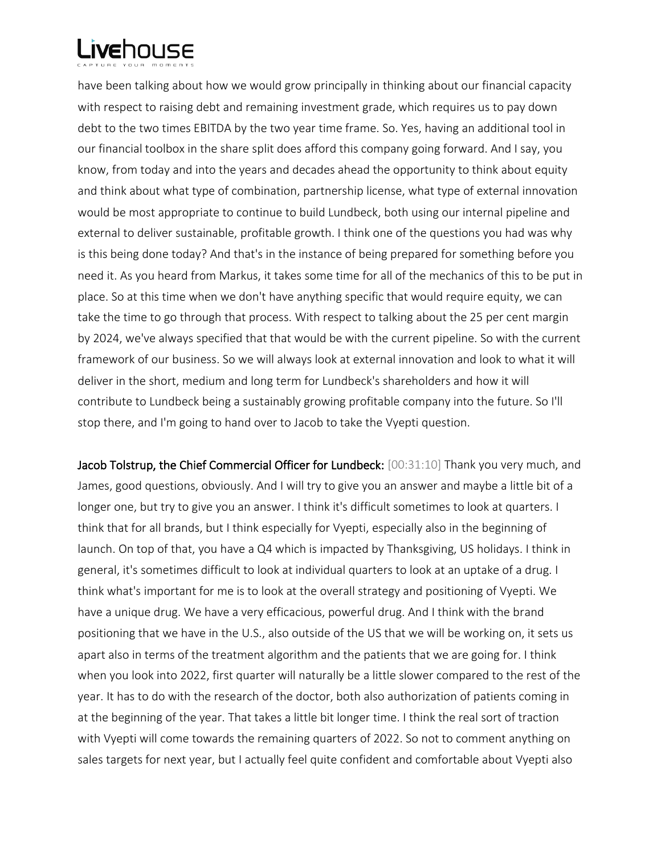have been talking about how we would grow principally in thinking about our financial capacity with respect to raising debt and remaining investment grade, which requires us to pay down debt to the two times EBITDA by the two year time frame. So. Yes, having an additional tool in our financial toolbox in the share split does afford this company going forward. And I say, you know, from today and into the years and decades ahead the opportunity to think about equity and think about what type of combination, partnership license, what type of external innovation would be most appropriate to continue to build Lundbeck, both using our internal pipeline and external to deliver sustainable, profitable growth. I think one of the questions you had was why is this being done today? And that's in the instance of being prepared for something before you need it. As you heard from Markus, it takes some time for all of the mechanics of this to be put in place. So at this time when we don't have anything specific that would require equity, we can take the time to go through that process. With respect to talking about the 25 per cent margin by 2024, we've always specified that that would be with the current pipeline. So with the current framework of our business. So we will always look at external innovation and look to what it will deliver in the short, medium and long term for Lundbeck's shareholders and how it will contribute to Lundbeck being a sustainably growing profitable company into the future. So I'll stop there, and I'm going to hand over to Jacob to take the Vyepti question.

Jacob Tolstrup, the Chief Commercial Officer for Lundbeck: [00:31:10] Thank you very much, and James, good questions, obviously. And I will try to give you an answer and maybe a little bit of a longer one, but try to give you an answer. I think it's difficult sometimes to look at quarters. I think that for all brands, but I think especially for Vyepti, especially also in the beginning of launch. On top of that, you have a Q4 which is impacted by Thanksgiving, US holidays. I think in general, it's sometimes difficult to look at individual quarters to look at an uptake of a drug. I think what's important for me is to look at the overall strategy and positioning of Vyepti. We have a unique drug. We have a very efficacious, powerful drug. And I think with the brand positioning that we have in the U.S., also outside of the US that we will be working on, it sets us apart also in terms of the treatment algorithm and the patients that we are going for. I think when you look into 2022, first quarter will naturally be a little slower compared to the rest of the year. It has to do with the research of the doctor, both also authorization of patients coming in at the beginning of the year. That takes a little bit longer time. I think the real sort of traction with Vyepti will come towards the remaining quarters of 2022. So not to comment anything on sales targets for next year, but I actually feel quite confident and comfortable about Vyepti also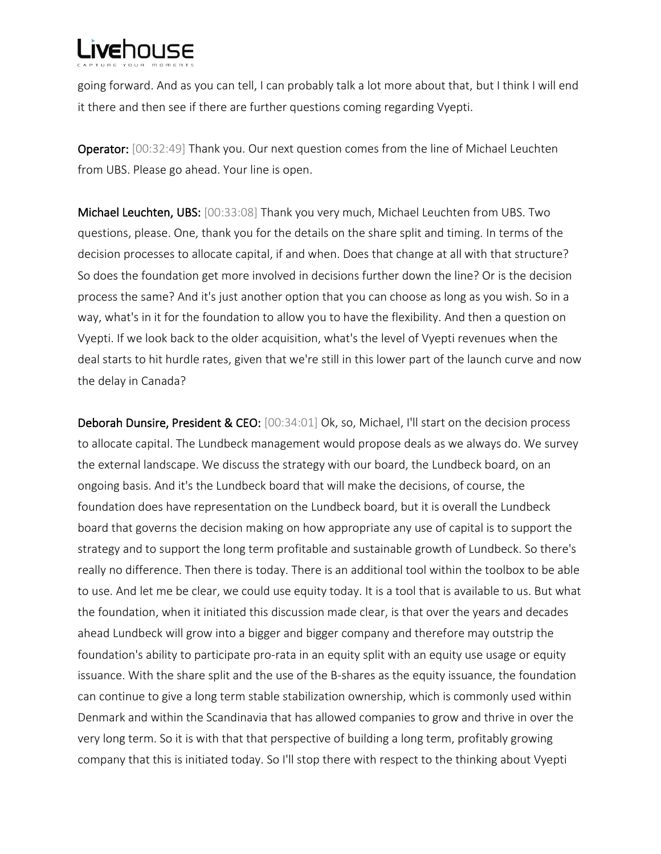going forward. And as you can tell, I can probably talk a lot more about that, but I think I will end it there and then see if there are further questions coming regarding Vyepti.

Operator: [00:32:49] Thank you. Our next question comes from the line of Michael Leuchten from UBS. Please go ahead. Your line is open.

Michael Leuchten, UBS: [00:33:08] Thank you very much, Michael Leuchten from UBS. Two questions, please. One, thank you for the details on the share split and timing. In terms of the decision processes to allocate capital, if and when. Does that change at all with that structure? So does the foundation get more involved in decisions further down the line? Or is the decision process the same? And it's just another option that you can choose as long as you wish. So in a way, what's in it for the foundation to allow you to have the flexibility. And then a question on Vyepti. If we look back to the older acquisition, what's the level of Vyepti revenues when the deal starts to hit hurdle rates, given that we're still in this lower part of the launch curve and now the delay in Canada?

Deborah Dunsire, President & CEO: [00:34:01] Ok, so, Michael, I'll start on the decision process to allocate capital. The Lundbeck management would propose deals as we always do. We survey the external landscape. We discuss the strategy with our board, the Lundbeck board, on an ongoing basis. And it's the Lundbeck board that will make the decisions, of course, the foundation does have representation on the Lundbeck board, but it is overall the Lundbeck board that governs the decision making on how appropriate any use of capital is to support the strategy and to support the long term profitable and sustainable growth of Lundbeck. So there's really no difference. Then there is today. There is an additional tool within the toolbox to be able to use. And let me be clear, we could use equity today. It is a tool that is available to us. But what the foundation, when it initiated this discussion made clear, is that over the years and decades ahead Lundbeck will grow into a bigger and bigger company and therefore may outstrip the foundation's ability to participate pro-rata in an equity split with an equity use usage or equity issuance. With the share split and the use of the B-shares as the equity issuance, the foundation can continue to give a long term stable stabilization ownership, which is commonly used within Denmark and within the Scandinavia that has allowed companies to grow and thrive in over the very long term. So it is with that that perspective of building a long term, profitably growing company that this is initiated today. So I'll stop there with respect to the thinking about Vyepti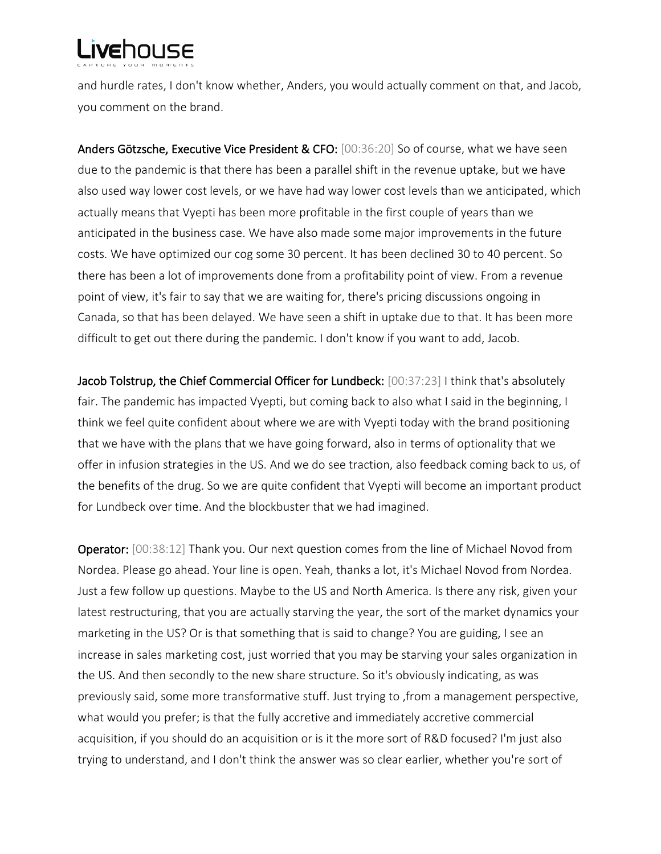and hurdle rates, I don't know whether, Anders, you would actually comment on that, and Jacob, you comment on the brand.

Anders Götzsche, Executive Vice President & CFO: [00:36:20] So of course, what we have seen due to the pandemic is that there has been a parallel shift in the revenue uptake, but we have also used way lower cost levels, or we have had way lower cost levels than we anticipated, which actually means that Vyepti has been more profitable in the first couple of years than we anticipated in the business case. We have also made some major improvements in the future costs. We have optimized our cog some 30 percent. It has been declined 30 to 40 percent. So there has been a lot of improvements done from a profitability point of view. From a revenue point of view, it's fair to say that we are waiting for, there's pricing discussions ongoing in Canada, so that has been delayed. We have seen a shift in uptake due to that. It has been more difficult to get out there during the pandemic. I don't know if you want to add, Jacob.

Jacob Tolstrup, the Chief Commercial Officer for Lundbeck: [00:37:23] I think that's absolutely fair. The pandemic has impacted Vyepti, but coming back to also what I said in the beginning, I think we feel quite confident about where we are with Vyepti today with the brand positioning that we have with the plans that we have going forward, also in terms of optionality that we offer in infusion strategies in the US. And we do see traction, also feedback coming back to us, of the benefits of the drug. So we are quite confident that Vyepti will become an important product for Lundbeck over time. And the blockbuster that we had imagined.

Operator: [00:38:12] Thank you. Our next question comes from the line of Michael Novod from Nordea. Please go ahead. Your line is open. Yeah, thanks a lot, it's Michael Novod from Nordea. Just a few follow up questions. Maybe to the US and North America. Is there any risk, given your latest restructuring, that you are actually starving the year, the sort of the market dynamics your marketing in the US? Or is that something that is said to change? You are guiding, I see an increase in sales marketing cost, just worried that you may be starving your sales organization in the US. And then secondly to the new share structure. So it's obviously indicating, as was previously said, some more transformative stuff. Just trying to ,from a management perspective, what would you prefer; is that the fully accretive and immediately accretive commercial acquisition, if you should do an acquisition or is it the more sort of R&D focused? I'm just also trying to understand, and I don't think the answer was so clear earlier, whether you're sort of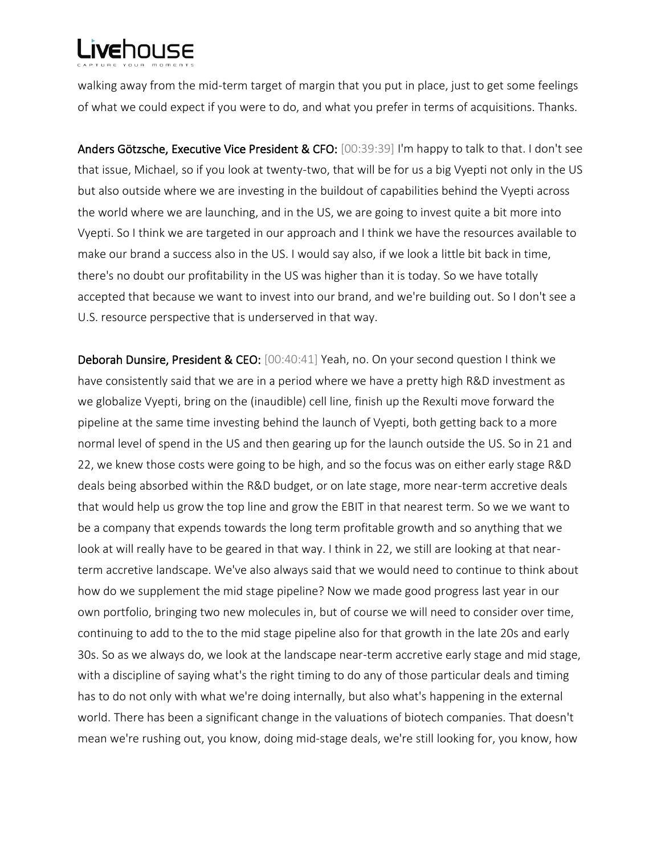walking away from the mid-term target of margin that you put in place, just to get some feelings of what we could expect if you were to do, and what you prefer in terms of acquisitions. Thanks.

Anders Götzsche, Executive Vice President & CFO: [00:39:39] I'm happy to talk to that. I don't see that issue, Michael, so if you look at twenty-two, that will be for us a big Vyepti not only in the US but also outside where we are investing in the buildout of capabilities behind the Vyepti across the world where we are launching, and in the US, we are going to invest quite a bit more into Vyepti. So I think we are targeted in our approach and I think we have the resources available to make our brand a success also in the US. I would say also, if we look a little bit back in time, there's no doubt our profitability in the US was higher than it is today. So we have totally accepted that because we want to invest into our brand, and we're building out. So I don't see a U.S. resource perspective that is underserved in that way.

Deborah Dunsire, President & CEO: [00:40:41] Yeah, no. On your second question I think we have consistently said that we are in a period where we have a pretty high R&D investment as we globalize Vyepti, bring on the (inaudible) cell line, finish up the Rexulti move forward the pipeline at the same time investing behind the launch of Vyepti, both getting back to a more normal level of spend in the US and then gearing up for the launch outside the US. So in 21 and 22, we knew those costs were going to be high, and so the focus was on either early stage R&D deals being absorbed within the R&D budget, or on late stage, more near-term accretive deals that would help us grow the top line and grow the EBIT in that nearest term. So we we want to be a company that expends towards the long term profitable growth and so anything that we look at will really have to be geared in that way. I think in 22, we still are looking at that nearterm accretive landscape. We've also always said that we would need to continue to think about how do we supplement the mid stage pipeline? Now we made good progress last year in our own portfolio, bringing two new molecules in, but of course we will need to consider over time, continuing to add to the to the mid stage pipeline also for that growth in the late 20s and early 30s. So as we always do, we look at the landscape near-term accretive early stage and mid stage, with a discipline of saying what's the right timing to do any of those particular deals and timing has to do not only with what we're doing internally, but also what's happening in the external world. There has been a significant change in the valuations of biotech companies. That doesn't mean we're rushing out, you know, doing mid-stage deals, we're still looking for, you know, how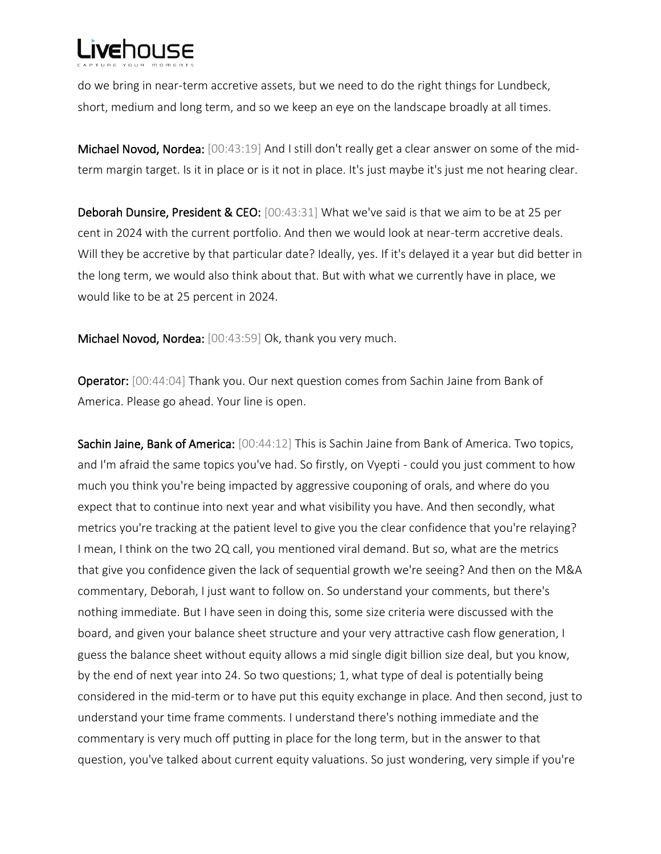do we bring in near-term accretive assets, but we need to do the right things for Lundbeck, short, medium and long term, and so we keep an eye on the landscape broadly at all times.

Michael Novod, Nordea: [00:43:19] And I still don't really get a clear answer on some of the midterm margin target. Is it in place or is it not in place. It's just maybe it's just me not hearing clear.

Deborah Dunsire, President & CEO: [00:43:31] What we've said is that we aim to be at 25 per cent in 2024 with the current portfolio. And then we would look at near-term accretive deals. Will they be accretive by that particular date? Ideally, yes. If it's delayed it a year but did better in the long term, we would also think about that. But with what we currently have in place, we would like to be at 25 percent in 2024.

Michael Novod, Nordea: [00:43:59] Ok, thank you very much.

Operator: [00:44:04] Thank you. Our next question comes from Sachin Jaine from Bank of America. Please go ahead. Your line is open.

Sachin Jaine, Bank of America: [00:44:12] This is Sachin Jaine from Bank of America. Two topics, and I'm afraid the same topics you've had. So firstly, on Vyepti - could you just comment to how much you think you're being impacted by aggressive couponing of orals, and where do you expect that to continue into next year and what visibility you have. And then secondly, what metrics you're tracking at the patient level to give you the clear confidence that you're relaying? I mean, I think on the two 2Q call, you mentioned viral demand. But so, what are the metrics that give you confidence given the lack of sequential growth we're seeing? And then on the M&A commentary, Deborah, I just want to follow on. So understand your comments, but there's nothing immediate. But I have seen in doing this, some size criteria were discussed with the board, and given your balance sheet structure and your very attractive cash flow generation, I guess the balance sheet without equity allows a mid single digit billion size deal, but you know, by the end of next year into 24. So two questions; 1, what type of deal is potentially being considered in the mid-term or to have put this equity exchange in place. And then second, just to understand your time frame comments. I understand there's nothing immediate and the commentary is very much off putting in place for the long term, but in the answer to that question, you've talked about current equity valuations. So just wondering, very simple if you're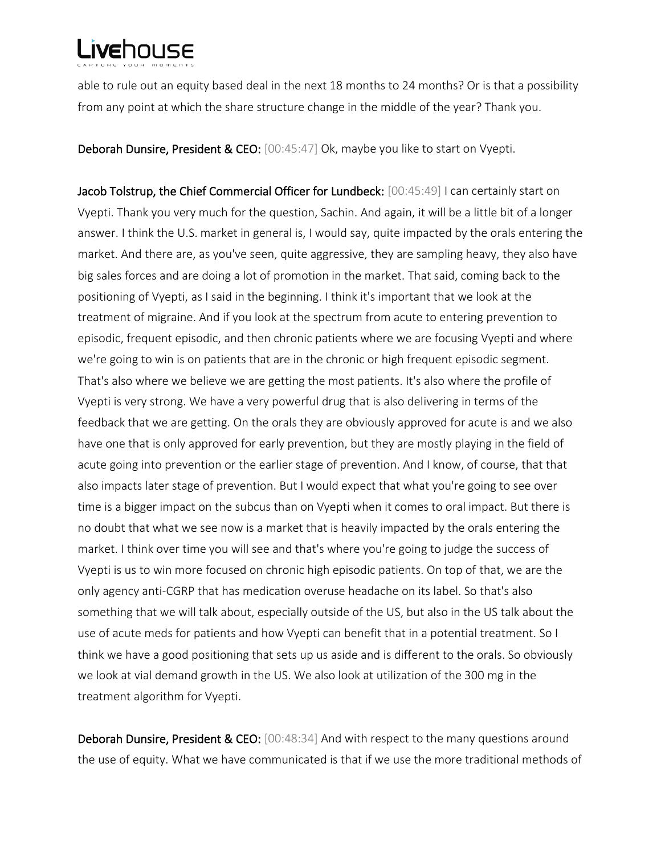able to rule out an equity based deal in the next 18 months to 24 months? Or is that a possibility from any point at which the share structure change in the middle of the year? Thank you.

Deborah Dunsire, President & CEO: [00:45:47] Ok, maybe you like to start on Vyepti.

Jacob Tolstrup, the Chief Commercial Officer for Lundbeck: [00:45:49] I can certainly start on Vyepti. Thank you very much for the question, Sachin. And again, it will be a little bit of a longer answer. I think the U.S. market in general is, I would say, quite impacted by the orals entering the market. And there are, as you've seen, quite aggressive, they are sampling heavy, they also have big sales forces and are doing a lot of promotion in the market. That said, coming back to the positioning of Vyepti, as I said in the beginning. I think it's important that we look at the treatment of migraine. And if you look at the spectrum from acute to entering prevention to episodic, frequent episodic, and then chronic patients where we are focusing Vyepti and where we're going to win is on patients that are in the chronic or high frequent episodic segment. That's also where we believe we are getting the most patients. It's also where the profile of Vyepti is very strong. We have a very powerful drug that is also delivering in terms of the feedback that we are getting. On the orals they are obviously approved for acute is and we also have one that is only approved for early prevention, but they are mostly playing in the field of acute going into prevention or the earlier stage of prevention. And I know, of course, that that also impacts later stage of prevention. But I would expect that what you're going to see over time is a bigger impact on the subcus than on Vyepti when it comes to oral impact. But there is no doubt that what we see now is a market that is heavily impacted by the orals entering the market. I think over time you will see and that's where you're going to judge the success of Vyepti is us to win more focused on chronic high episodic patients. On top of that, we are the only agency anti-CGRP that has medication overuse headache on its label. So that's also something that we will talk about, especially outside of the US, but also in the US talk about the use of acute meds for patients and how Vyepti can benefit that in a potential treatment. So I think we have a good positioning that sets up us aside and is different to the orals. So obviously we look at vial demand growth in the US. We also look at utilization of the 300 mg in the treatment algorithm for Vyepti.

Deborah Dunsire, President & CEO: [00:48:34] And with respect to the many questions around the use of equity. What we have communicated is that if we use the more traditional methods of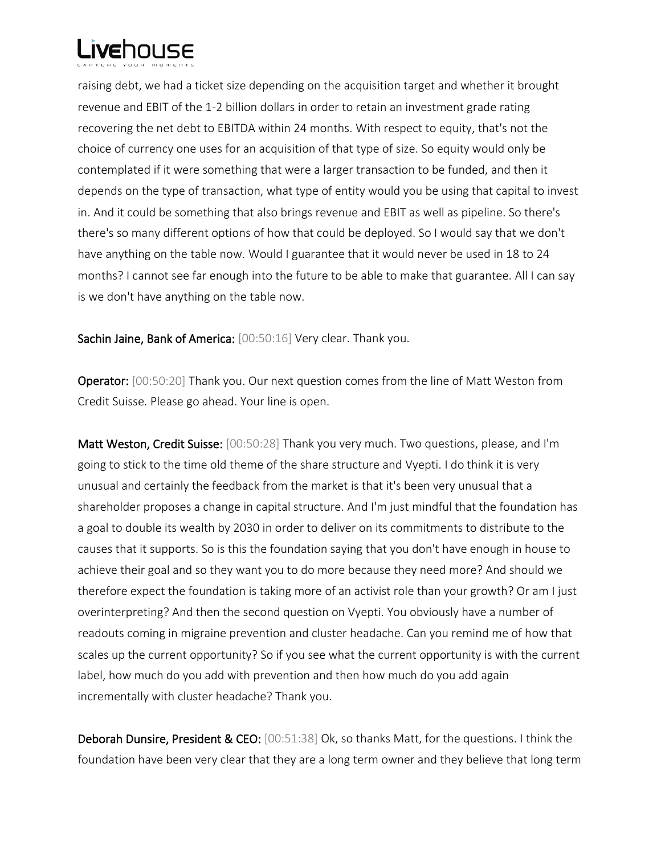

raising debt, we had a ticket size depending on the acquisition target and whether it brought revenue and EBIT of the 1-2 billion dollars in order to retain an investment grade rating recovering the net debt to EBITDA within 24 months. With respect to equity, that's not the choice of currency one uses for an acquisition of that type of size. So equity would only be contemplated if it were something that were a larger transaction to be funded, and then it depends on the type of transaction, what type of entity would you be using that capital to invest in. And it could be something that also brings revenue and EBIT as well as pipeline. So there's there's so many different options of how that could be deployed. So I would say that we don't have anything on the table now. Would I guarantee that it would never be used in 18 to 24 months? I cannot see far enough into the future to be able to make that guarantee. All I can say is we don't have anything on the table now.

Sachin Jaine, Bank of America: [00:50:16] Very clear. Thank you.

Operator: [00:50:20] Thank you. Our next question comes from the line of Matt Weston from Credit Suisse. Please go ahead. Your line is open.

Matt Weston, Credit Suisse: [00:50:28] Thank you very much. Two questions, please, and I'm going to stick to the time old theme of the share structure and Vyepti. I do think it is very unusual and certainly the feedback from the market is that it's been very unusual that a shareholder proposes a change in capital structure. And I'm just mindful that the foundation has a goal to double its wealth by 2030 in order to deliver on its commitments to distribute to the causes that it supports. So is this the foundation saying that you don't have enough in house to achieve their goal and so they want you to do more because they need more? And should we therefore expect the foundation is taking more of an activist role than your growth? Or am I just overinterpreting? And then the second question on Vyepti. You obviously have a number of readouts coming in migraine prevention and cluster headache. Can you remind me of how that scales up the current opportunity? So if you see what the current opportunity is with the current label, how much do you add with prevention and then how much do you add again incrementally with cluster headache? Thank you.

Deborah Dunsire, President & CEO: [00:51:38] Ok, so thanks Matt, for the questions. I think the foundation have been very clear that they are a long term owner and they believe that long term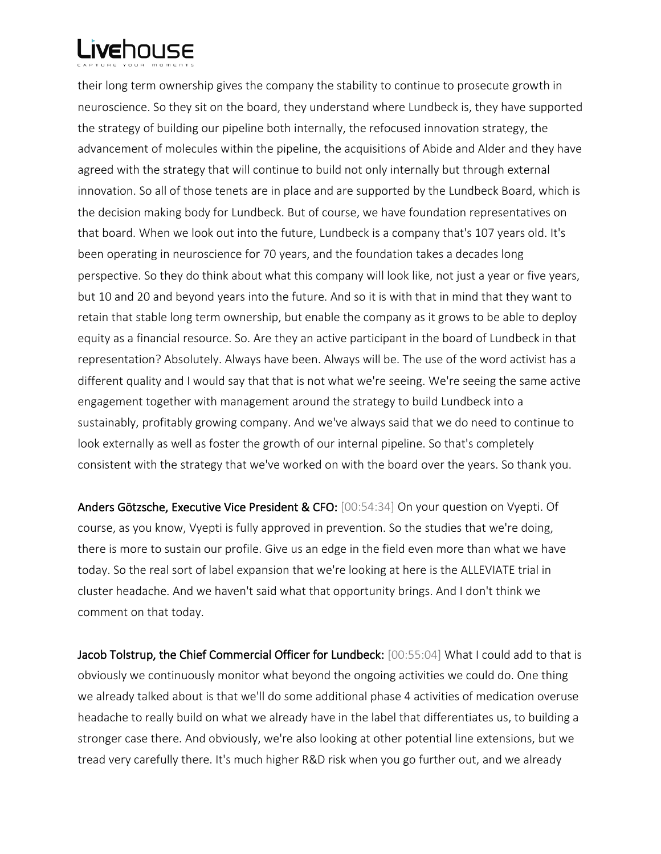their long term ownership gives the company the stability to continue to prosecute growth in neuroscience. So they sit on the board, they understand where Lundbeck is, they have supported the strategy of building our pipeline both internally, the refocused innovation strategy, the advancement of molecules within the pipeline, the acquisitions of Abide and Alder and they have agreed with the strategy that will continue to build not only internally but through external innovation. So all of those tenets are in place and are supported by the Lundbeck Board, which is the decision making body for Lundbeck. But of course, we have foundation representatives on that board. When we look out into the future, Lundbeck is a company that's 107 years old. It's been operating in neuroscience for 70 years, and the foundation takes a decades long perspective. So they do think about what this company will look like, not just a year or five years, but 10 and 20 and beyond years into the future. And so it is with that in mind that they want to retain that stable long term ownership, but enable the company as it grows to be able to deploy equity as a financial resource. So. Are they an active participant in the board of Lundbeck in that representation? Absolutely. Always have been. Always will be. The use of the word activist has a different quality and I would say that that is not what we're seeing. We're seeing the same active engagement together with management around the strategy to build Lundbeck into a sustainably, profitably growing company. And we've always said that we do need to continue to look externally as well as foster the growth of our internal pipeline. So that's completely consistent with the strategy that we've worked on with the board over the years. So thank you.

Anders Götzsche, Executive Vice President & CFO: [00:54:34] On your question on Vyepti. Of course, as you know, Vyepti is fully approved in prevention. So the studies that we're doing, there is more to sustain our profile. Give us an edge in the field even more than what we have today. So the real sort of label expansion that we're looking at here is the ALLEVIATE trial in cluster headache. And we haven't said what that opportunity brings. And I don't think we comment on that today.

Jacob Tolstrup, the Chief Commercial Officer for Lundbeck: [00:55:04] What I could add to that is obviously we continuously monitor what beyond the ongoing activities we could do. One thing we already talked about is that we'll do some additional phase 4 activities of medication overuse headache to really build on what we already have in the label that differentiates us, to building a stronger case there. And obviously, we're also looking at other potential line extensions, but we tread very carefully there. It's much higher R&D risk when you go further out, and we already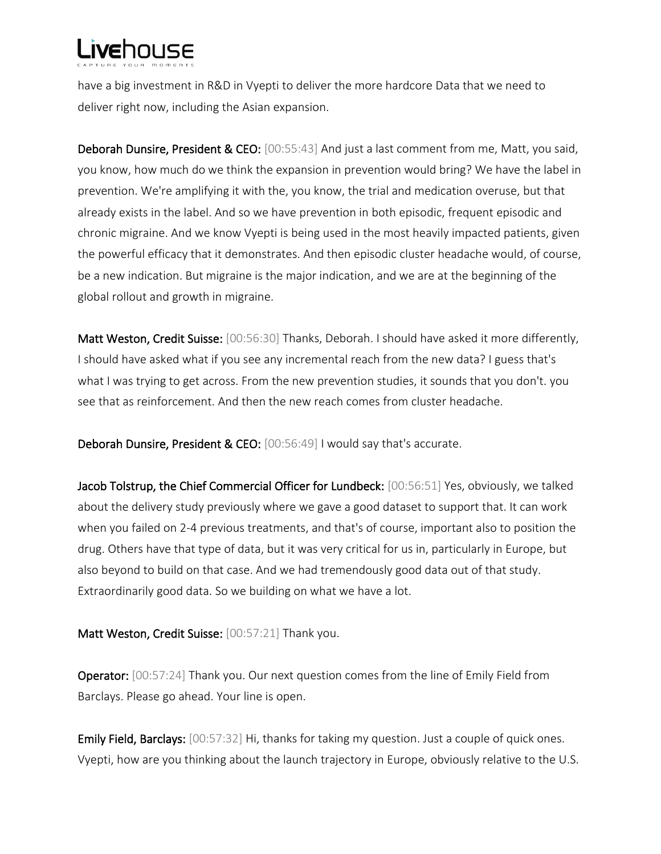have a big investment in R&D in Vyepti to deliver the more hardcore Data that we need to deliver right now, including the Asian expansion.

Deborah Dunsire, President & CEO: [00:55:43] And just a last comment from me, Matt, you said, you know, how much do we think the expansion in prevention would bring? We have the label in prevention. We're amplifying it with the, you know, the trial and medication overuse, but that already exists in the label. And so we have prevention in both episodic, frequent episodic and chronic migraine. And we know Vyepti is being used in the most heavily impacted patients, given the powerful efficacy that it demonstrates. And then episodic cluster headache would, of course, be a new indication. But migraine is the major indication, and we are at the beginning of the global rollout and growth in migraine.

Matt Weston, Credit Suisse: [00:56:30] Thanks, Deborah. I should have asked it more differently, I should have asked what if you see any incremental reach from the new data? I guess that's what I was trying to get across. From the new prevention studies, it sounds that you don't. you see that as reinforcement. And then the new reach comes from cluster headache.

Deborah Dunsire, President & CEO: [00:56:49] I would say that's accurate.

Jacob Tolstrup, the Chief Commercial Officer for Lundbeck: [00:56:51] Yes, obviously, we talked about the delivery study previously where we gave a good dataset to support that. It can work when you failed on 2-4 previous treatments, and that's of course, important also to position the drug. Others have that type of data, but it was very critical for us in, particularly in Europe, but also beyond to build on that case. And we had tremendously good data out of that study. Extraordinarily good data. So we building on what we have a lot.

#### Matt Weston, Credit Suisse: [00:57:21] Thank you.

**Operator:** [00:57:24] Thank you. Our next question comes from the line of Emily Field from Barclays. Please go ahead. Your line is open.

Emily Field, Barclays: [00:57:32] Hi, thanks for taking my question. Just a couple of quick ones. Vyepti, how are you thinking about the launch trajectory in Europe, obviously relative to the U.S.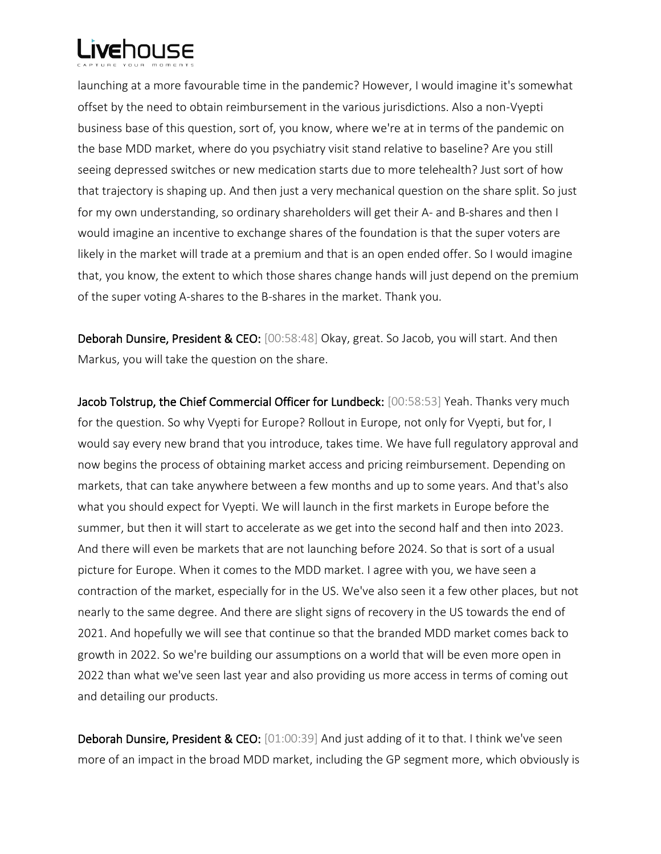

launching at a more favourable time in the pandemic? However, I would imagine it's somewhat offset by the need to obtain reimbursement in the various jurisdictions. Also a non-Vyepti business base of this question, sort of, you know, where we're at in terms of the pandemic on the base MDD market, where do you psychiatry visit stand relative to baseline? Are you still seeing depressed switches or new medication starts due to more telehealth? Just sort of how that trajectory is shaping up. And then just a very mechanical question on the share split. So just for my own understanding, so ordinary shareholders will get their A- and B-shares and then I would imagine an incentive to exchange shares of the foundation is that the super voters are likely in the market will trade at a premium and that is an open ended offer. So I would imagine that, you know, the extent to which those shares change hands will just depend on the premium of the super voting A-shares to the B-shares in the market. Thank you.

Deborah Dunsire, President & CEO: [00:58:48] Okay, great. So Jacob, you will start. And then Markus, you will take the question on the share.

Jacob Tolstrup, the Chief Commercial Officer for Lundbeck: [00:58:53] Yeah. Thanks very much for the question. So why Vyepti for Europe? Rollout in Europe, not only for Vyepti, but for, I would say every new brand that you introduce, takes time. We have full regulatory approval and now begins the process of obtaining market access and pricing reimbursement. Depending on markets, that can take anywhere between a few months and up to some years. And that's also what you should expect for Vyepti. We will launch in the first markets in Europe before the summer, but then it will start to accelerate as we get into the second half and then into 2023. And there will even be markets that are not launching before 2024. So that is sort of a usual picture for Europe. When it comes to the MDD market. I agree with you, we have seen a contraction of the market, especially for in the US. We've also seen it a few other places, but not nearly to the same degree. And there are slight signs of recovery in the US towards the end of 2021. And hopefully we will see that continue so that the branded MDD market comes back to growth in 2022. So we're building our assumptions on a world that will be even more open in 2022 than what we've seen last year and also providing us more access in terms of coming out and detailing our products.

Deborah Dunsire, President & CEO: [01:00:39] And just adding of it to that. I think we've seen more of an impact in the broad MDD market, including the GP segment more, which obviously is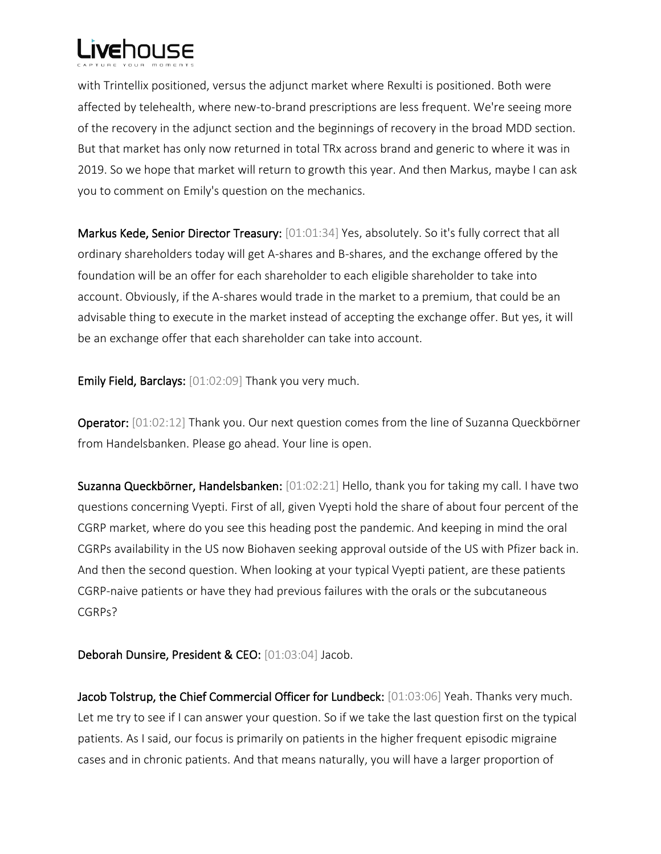

with Trintellix positioned, versus the adjunct market where Rexulti is positioned. Both were affected by telehealth, where new-to-brand prescriptions are less frequent. We're seeing more of the recovery in the adjunct section and the beginnings of recovery in the broad MDD section. But that market has only now returned in total TRx across brand and generic to where it was in 2019. So we hope that market will return to growth this year. And then Markus, maybe I can ask you to comment on Emily's question on the mechanics.

Markus Kede, Senior Director Treasury: [01:01:34] Yes, absolutely. So it's fully correct that all ordinary shareholders today will get A-shares and B-shares, and the exchange offered by the foundation will be an offer for each shareholder to each eligible shareholder to take into account. Obviously, if the A-shares would trade in the market to a premium, that could be an advisable thing to execute in the market instead of accepting the exchange offer. But yes, it will be an exchange offer that each shareholder can take into account.

Emily Field, Barclays: [01:02:09] Thank you very much.

Operator: [01:02:12] Thank you. Our next question comes from the line of Suzanna Queckbörner from Handelsbanken. Please go ahead. Your line is open.

Suzanna Queckbörner, Handelsbanken: [01:02:21] Hello, thank you for taking my call. I have two questions concerning Vyepti. First of all, given Vyepti hold the share of about four percent of the CGRP market, where do you see this heading post the pandemic. And keeping in mind the oral CGRPs availability in the US now Biohaven seeking approval outside of the US with Pfizer back in. And then the second question. When looking at your typical Vyepti patient, are these patients CGRP-naive patients or have they had previous failures with the orals or the subcutaneous CGRPs?

Deborah Dunsire, President & CEO: [01:03:04] Jacob.

Jacob Tolstrup, the Chief Commercial Officer for Lundbeck: [01:03:06] Yeah. Thanks very much. Let me try to see if I can answer your question. So if we take the last question first on the typical patients. As I said, our focus is primarily on patients in the higher frequent episodic migraine cases and in chronic patients. And that means naturally, you will have a larger proportion of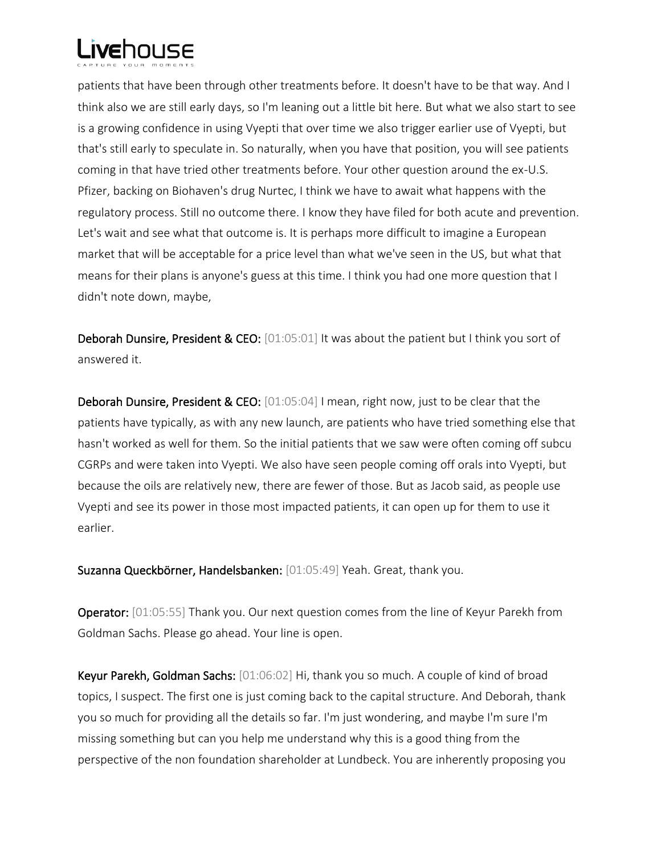

patients that have been through other treatments before. It doesn't have to be that way. And I think also we are still early days, so I'm leaning out a little bit here. But what we also start to see is a growing confidence in using Vyepti that over time we also trigger earlier use of Vyepti, but that's still early to speculate in. So naturally, when you have that position, you will see patients coming in that have tried other treatments before. Your other question around the ex-U.S. Pfizer, backing on Biohaven's drug Nurtec, I think we have to await what happens with the regulatory process. Still no outcome there. I know they have filed for both acute and prevention. Let's wait and see what that outcome is. It is perhaps more difficult to imagine a European market that will be acceptable for a price level than what we've seen in the US, but what that means for their plans is anyone's guess at this time. I think you had one more question that I didn't note down, maybe,

Deborah Dunsire, President & CEO: [01:05:01] It was about the patient but I think you sort of answered it.

Deborah Dunsire, President & CEO: [01:05:04] I mean, right now, just to be clear that the patients have typically, as with any new launch, are patients who have tried something else that hasn't worked as well for them. So the initial patients that we saw were often coming off subcu CGRPs and were taken into Vyepti. We also have seen people coming off orals into Vyepti, but because the oils are relatively new, there are fewer of those. But as Jacob said, as people use Vyepti and see its power in those most impacted patients, it can open up for them to use it earlier.

Suzanna Queckbörner, Handelsbanken: [01:05:49] Yeah. Great, thank you.

Operator: [01:05:55] Thank you. Our next question comes from the line of Keyur Parekh from Goldman Sachs. Please go ahead. Your line is open.

Keyur Parekh, Goldman Sachs: [01:06:02] Hi, thank you so much. A couple of kind of broad topics, I suspect. The first one is just coming back to the capital structure. And Deborah, thank you so much for providing all the details so far. I'm just wondering, and maybe I'm sure I'm missing something but can you help me understand why this is a good thing from the perspective of the non foundation shareholder at Lundbeck. You are inherently proposing you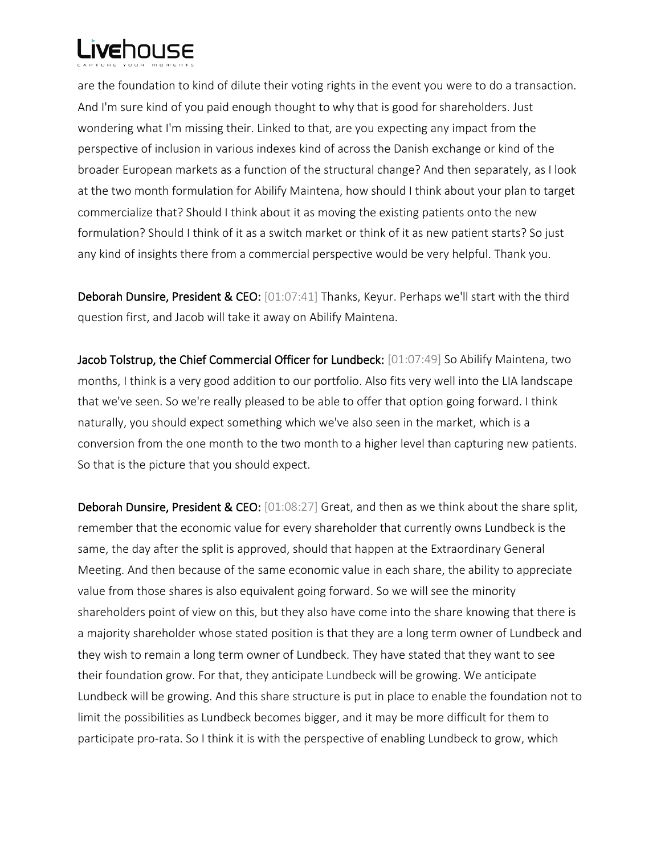

are the foundation to kind of dilute their voting rights in the event you were to do a transaction. And I'm sure kind of you paid enough thought to why that is good for shareholders. Just wondering what I'm missing their. Linked to that, are you expecting any impact from the perspective of inclusion in various indexes kind of across the Danish exchange or kind of the broader European markets as a function of the structural change? And then separately, as I look at the two month formulation for Abilify Maintena, how should I think about your plan to target commercialize that? Should I think about it as moving the existing patients onto the new formulation? Should I think of it as a switch market or think of it as new patient starts? So just any kind of insights there from a commercial perspective would be very helpful. Thank you.

Deborah Dunsire, President & CEO: [01:07:41] Thanks, Keyur. Perhaps we'll start with the third question first, and Jacob will take it away on Abilify Maintena.

Jacob Tolstrup, the Chief Commercial Officer for Lundbeck: [01:07:49] So Abilify Maintena, two months, I think is a very good addition to our portfolio. Also fits very well into the LIA landscape that we've seen. So we're really pleased to be able to offer that option going forward. I think naturally, you should expect something which we've also seen in the market, which is a conversion from the one month to the two month to a higher level than capturing new patients. So that is the picture that you should expect.

Deborah Dunsire, President & CEO: [01:08:27] Great, and then as we think about the share split, remember that the economic value for every shareholder that currently owns Lundbeck is the same, the day after the split is approved, should that happen at the Extraordinary General Meeting. And then because of the same economic value in each share, the ability to appreciate value from those shares is also equivalent going forward. So we will see the minority shareholders point of view on this, but they also have come into the share knowing that there is a majority shareholder whose stated position is that they are a long term owner of Lundbeck and they wish to remain a long term owner of Lundbeck. They have stated that they want to see their foundation grow. For that, they anticipate Lundbeck will be growing. We anticipate Lundbeck will be growing. And this share structure is put in place to enable the foundation not to limit the possibilities as Lundbeck becomes bigger, and it may be more difficult for them to participate pro-rata. So I think it is with the perspective of enabling Lundbeck to grow, which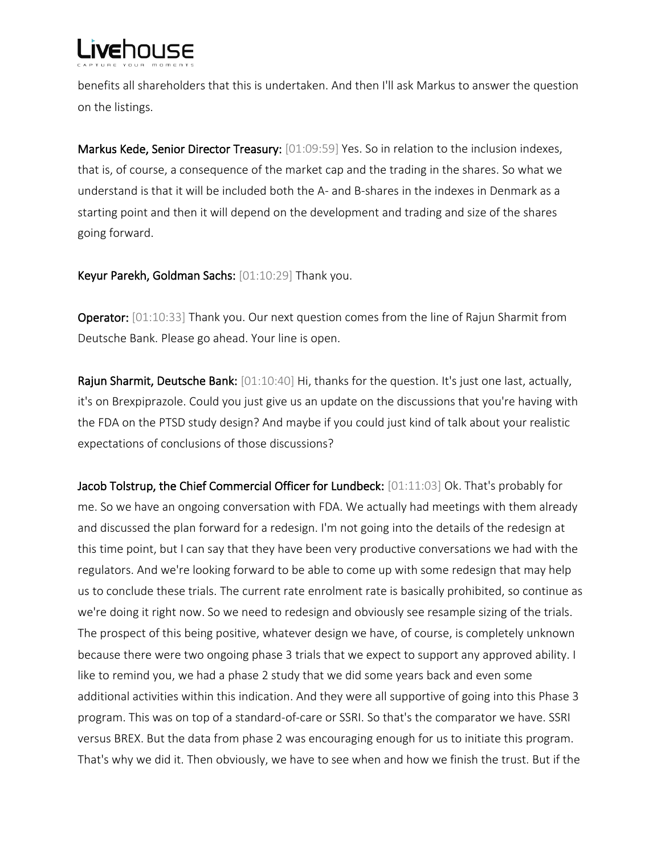benefits all shareholders that this is undertaken. And then I'll ask Markus to answer the question on the listings.

Markus Kede, Senior Director Treasury: [01:09:59] Yes. So in relation to the inclusion indexes, that is, of course, a consequence of the market cap and the trading in the shares. So what we understand is that it will be included both the A- and B-shares in the indexes in Denmark as a starting point and then it will depend on the development and trading and size of the shares going forward.

Keyur Parekh, Goldman Sachs: [01:10:29] Thank you.

Operator: [01:10:33] Thank you. Our next question comes from the line of Rajun Sharmit from Deutsche Bank. Please go ahead. Your line is open.

Rajun Sharmit, Deutsche Bank: [01:10:40] Hi, thanks for the question. It's just one last, actually, it's on Brexpiprazole. Could you just give us an update on the discussions that you're having with the FDA on the PTSD study design? And maybe if you could just kind of talk about your realistic expectations of conclusions of those discussions?

Jacob Tolstrup, the Chief Commercial Officer for Lundbeck: [01:11:03] Ok. That's probably for me. So we have an ongoing conversation with FDA. We actually had meetings with them already and discussed the plan forward for a redesign. I'm not going into the details of the redesign at this time point, but I can say that they have been very productive conversations we had with the regulators. And we're looking forward to be able to come up with some redesign that may help us to conclude these trials. The current rate enrolment rate is basically prohibited, so continue as we're doing it right now. So we need to redesign and obviously see resample sizing of the trials. The prospect of this being positive, whatever design we have, of course, is completely unknown because there were two ongoing phase 3 trials that we expect to support any approved ability. I like to remind you, we had a phase 2 study that we did some years back and even some additional activities within this indication. And they were all supportive of going into this Phase 3 program. This was on top of a standard-of-care or SSRI. So that's the comparator we have. SSRI versus BREX. But the data from phase 2 was encouraging enough for us to initiate this program. That's why we did it. Then obviously, we have to see when and how we finish the trust. But if the